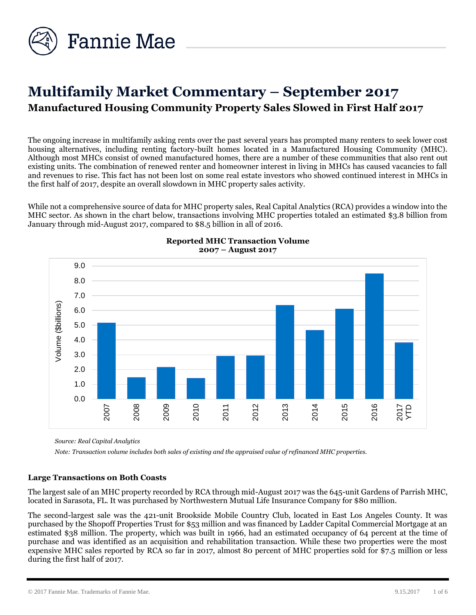

# **Multifamily Market Commentary – September 2017 Manufactured Housing Community Property Sales Slowed in First Half 2017**

The ongoing increase in multifamily asking rents over the past several years has prompted many renters to seek lower cost housing alternatives, including renting factory-built homes located in a Manufactured Housing Community (MHC). Although most MHCs consist of owned manufactured homes, there are a number of these communities that also rent out existing units. The combination of renewed renter and homeowner interest in living in MHCs has caused vacancies to fall and revenues to rise. This fact has not been lost on some real estate investors who showed continued interest in MHCs in the first half of 2017, despite an overall slowdown in MHC property sales activity.

While not a comprehensive source of data for MHC property sales, Real Capital Analytics (RCA) provides a window into the MHC sector. As shown in the chart below, transactions involving MHC properties totaled an estimated \$3.8 billion from January through mid-August 2017, compared to \$8.5 billion in all of 2016.





*Source: Real Capital Analytics*

*Note: Transaction volume includes both sales of existing and the appraised value of refinanced MHC properties.* 

#### **Large Transactions on Both Coasts**

The largest sale of an MHC property recorded by RCA through mid-August 2017 was the 645-unit Gardens of Parrish MHC, located in Sarasota, FL. It was purchased by Northwestern Mutual Life Insurance Company for \$80 million.

The second-largest sale was the 421-unit Brookside Mobile Country Club, located in East Los Angeles County. It was purchased by the Shopoff Properties Trust for \$53 million and was financed by Ladder Capital Commercial Mortgage at an estimated \$38 million. The property, which was built in 1966, had an estimated occupancy of 64 percent at the time of purchase and was identified as an acquisition and rehabilitation transaction. While these two properties were the most expensive MHC sales reported by RCA so far in 2017, almost 80 percent of MHC properties sold for \$7.5 million or less during the first half of 2017.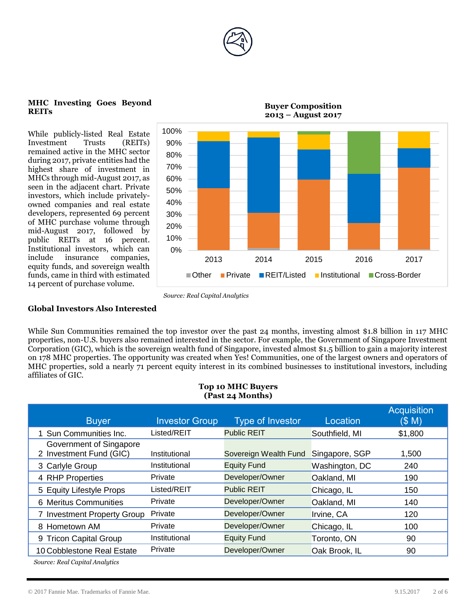

#### **MHC Investing Goes Beyond REITs**

While publicly-listed Real Estate Investment Trusts (REITs) remained active in the MHC sector during 2017, private entities had the highest share of investment in MHCs through mid-August 2017, as seen in the adjacent chart. Private investors, which include privatelyowned companies and real estate developers, represented 69 percent of MHC purchase volume through mid-August 2017, followed by public REITs at 16 percent. Institutional investors, which can include insurance companies, equity funds, and sovereign wealth funds, came in third with estimated 14 percent of purchase volume.



**Buyer Composition** 

**2013 – August 2017**

# **Global Investors Also Interested**

While Sun Communities remained the top investor over the past 24 months, investing almost \$1.8 billion in 117 MHC properties, non-U.S. buyers also remained interested in the sector. For example, the Government of Singapore Investment Corporation (GIC), which is the sovereign wealth fund of Singapore, invested almost \$1.5 billion to gain a majority interest on 178 MHC properties. The opportunity was created when Yes! Communities, one of the largest owners and operators of MHC properties, sold a nearly 71 percent equity interest in its combined businesses to institutional investors, including affiliates of GIC.

#### **Top 10 MHC Buyers (Past 24 Months)**

| <b>Buyer</b>                                       | <b>Investor Group</b> | Type of Investor      | Location       | <b>Acquisition</b><br>(S M) |
|----------------------------------------------------|-----------------------|-----------------------|----------------|-----------------------------|
| 1 Sun Communities Inc.                             | Listed/REIT           | <b>Public REIT</b>    | Southfield, MI | \$1,800                     |
| Government of Singapore<br>2 Investment Fund (GIC) | Institutional         | Sovereign Wealth Fund | Singapore, SGP | 1,500                       |
| 3 Carlyle Group                                    | Institutional         | <b>Equity Fund</b>    | Washington, DC | 240                         |
| 4 RHP Properties                                   | Private               | Developer/Owner       | Oakland, MI    | 190                         |
| 5 Equity Lifestyle Props                           | Listed/REIT           | <b>Public REIT</b>    | Chicago, IL    | 150                         |
| 6 Meritus Communities                              | Private               | Developer/Owner       | Oakland, MI    | 140                         |
| 7 Investment Property Group                        | Private               | Developer/Owner       | Irvine, CA     | 120                         |
| 8 Hometown AM                                      | Private               | Developer/Owner       | Chicago, IL    | 100                         |
| 9 Tricon Capital Group                             | Institutional         | <b>Equity Fund</b>    | Toronto, ON    | 90                          |
| 10 Cobblestone Real Estate                         | Private               | Developer/Owner       | Oak Brook, IL  | 90                          |
| Source: Real Capital Analytics                     |                       |                       |                |                             |

*Source: Real Capital Analytics*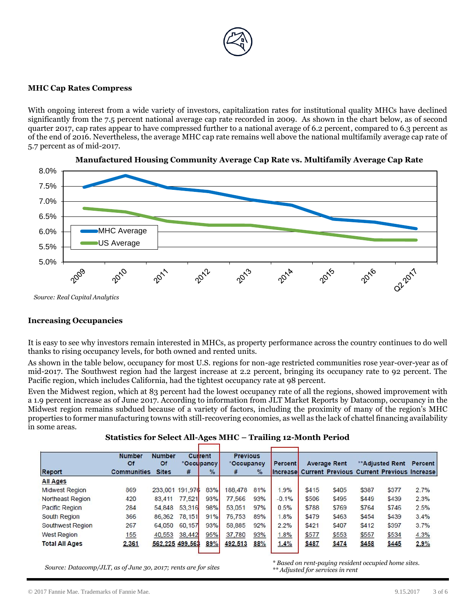

#### **MHC Cap Rates Compress**

With ongoing interest from a wide variety of investors, capitalization rates for institutional quality MHCs have declined significantly from the 7.5 percent national average cap rate recorded in 2009. As shown in the chart below, as of second quarter 2017, cap rates appear to have compressed further to a national average of 6.2 percent, compared to 6.3 percent as of the end of 2016. Nevertheless, the average MHC cap rate remains well above the national multifamily average cap rate of 5.7 percent as of mid-2017.





# **Increasing Occupancies**

It is easy to see why investors remain interested in MHCs, as property performance across the country continues to do well thanks to rising occupancy levels, for both owned and rented units.

As shown in the table below, occupancy for most U.S. regions for non-age restricted communities rose year-over-year as of mid-2017. The Southwest region had the largest increase at 2.2 percent, bringing its occupancy rate to 92 percent. The Pacific region, which includes California, had the tightest occupancy rate at 98 percent.

Even the Midwest region, which at 83 percent had the lowest occupancy rate of all the regions, showed improvement with a 1.9 percent increase as of June 2017. According to information from JLT Market Reports by Datacomp, occupancy in the Midwest region remains subdued because of a variety of factors, including the proximity of many of the region's MHC properties to former manufacturing towns with still-recovering economies, as well as the lack of chattel financing availability in some areas.

|  | Statistics for Select All-Ages MHC – Trailing 12-Month Period |  |  |
|--|---------------------------------------------------------------|--|--|
|  |                                                               |  |  |

|                         | <b>Number</b><br>Of | <b>Number</b><br><b>Of</b> |        | Current<br>*Occupancy | <b>Previous</b><br>*Occupancy |               | <b>Percent</b> |       | <b>Average Rent</b>                                        |       | ** Adjusted Rent | Percent |
|-------------------------|---------------------|----------------------------|--------|-----------------------|-------------------------------|---------------|----------------|-------|------------------------------------------------------------|-------|------------------|---------|
| Report                  | <b>Communities</b>  | <b>Sites</b>               | #      | $\frac{9}{6}$         | #                             | $\frac{9}{6}$ |                |       | <b>Increase Current Previous Current Previous Increase</b> |       |                  |         |
| <b>All Ages</b>         |                     |                            |        |                       |                               |               |                |       |                                                            |       |                  |         |
| <b>Midwest Region</b>   | 869                 | 233,001 191.976            |        | 83%                   | 188,478                       | 81%           | 1.9%           | \$415 | \$405                                                      | \$387 | \$377            | 2.7%    |
| <b>Northeast Region</b> | 420                 | 83,411                     | 77,521 | 93%                   | 77,566                        | 93%           | $-0.1%$        | \$506 | \$495                                                      | \$449 | \$439            | 2.3%    |
| <b>Pacific Region</b>   | 284                 | 54,848                     | 53,316 | 98%                   | 53.051                        | 97%           | 0.5%           | \$788 | \$769                                                      | \$764 | \$746            | 2.5%    |
| South Region            | 366                 | 86,362                     | 78,151 | 91%                   | 76,753                        | 89%           | 1.8%           | \$479 | \$463                                                      | \$454 | \$439            | 3.4%    |
| Southwest Region        | 267                 | 64,050                     | 60,157 | 93%                   | 58,885                        | 92%           | 2.2%           | \$421 | \$407                                                      | \$412 | \$397            | 3.7%    |
| <b>West Region</b>      | 155                 | 40,553                     | 38,442 | 95%                   | 37,780                        | 93%           | 1.8%           | \$577 | \$553                                                      | \$557 | \$534            | 4.3%    |
| <b>Total All Ages</b>   | 2,361               | 562,225 499.563            |        | 89%                   | 492.513                       | 88%           | 1.4%           | \$487 | \$474                                                      | \$458 | \$445            | 2.9%    |

*Source: Datacomp/JLT, as of June 30, 2017; rents are for sites*

*\* Based on rent-paying resident occupied home sites. \*\* Adjusted for services in rent*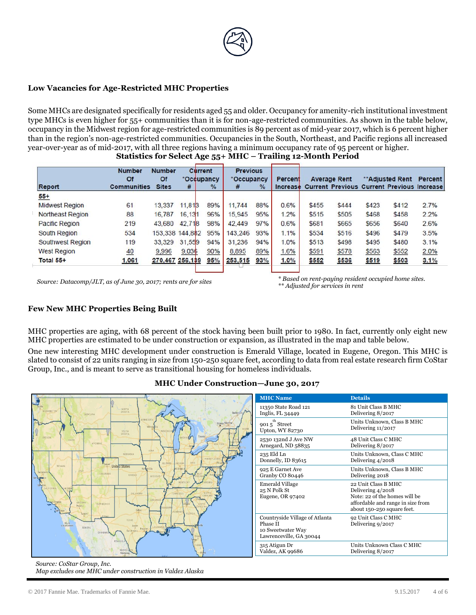

# **Low Vacancies for Age-Restricted MHC Properties**

Some MHCs are designated specifically for residents aged 55 and older. Occupancy for amenity-rich institutional investment type MHCs is even higher for 55+ communities than it is for non-age-restricted communities. As shown in the table below, occupancy in the Midwest region for age-restricted communities is 89 percent as of mid-year 2017, which is 6 percent higher than in the region's non-age-restricted communities. Occupancies in the South, Northeast, and Pacific regions all increased year-over-year as of mid-2017, with all three regions having a minimum occupancy rate of 95 percent or higher. **Statistics for Select Age 55+ MHC – Trailing 12-Month Period**

|                         | <b>Number</b><br>Of | <b>Number</b><br>Of | Current<br>*Occupancy |      | <b>Previous</b><br>*Occupancy |               | Percent  |       | <b>Average Rent</b> |       | **Adjusted Rent                                   | Percent |
|-------------------------|---------------------|---------------------|-----------------------|------|-------------------------------|---------------|----------|-------|---------------------|-------|---------------------------------------------------|---------|
| <b>Report</b>           | <b>Communities</b>  | <b>Sites</b>        | #                     | $\%$ | #                             | $\frac{9}{6}$ | Increase |       |                     |       | <b>Current Previous Current Previous Increase</b> |         |
| $55+$                   |                     |                     |                       |      |                               |               |          |       |                     |       |                                                   |         |
| <b>Midwest Region</b>   | 61                  | 13.337              | 11,813                | 89%  | 11.744                        | 88%           | 0.6%     | \$455 | \$444               | \$423 | \$412                                             | 2.7%    |
| <b>Northeast Region</b> | 88                  | 16,787              | 16,131                | 96%  | 15,945                        | 95%           | 1.2%     | \$515 | \$505               | \$468 | \$458                                             | 2.2%    |
| <b>Pacific Region</b>   | 219                 | 43,680              | 42,718                | 98%  | 42,449                        | 97%           | 0.6%     | \$681 | \$665               | \$656 | \$640                                             | 2.6%    |
| <b>South Region</b>     | 534                 | 153,338             | 144,882               | 95%  | 143,246                       | 93%           | 1.1%     | \$534 | \$516               | \$496 | \$479                                             | 3.5%    |
| Southwest Region        | 119                 | 33,329              | 31,559                | 94%  | 31,236                        | 94%           | 1.0%     | \$513 | \$498               | \$495 | \$480                                             | 3.1%    |
| <b>West Region</b>      | 40                  | 9,996               | 9,036                 | 90%  | 8,895                         | 89%           | 1.6%     | \$591 | \$578               | \$563 | \$552                                             | 2.0%    |
| Total 55+               | 1,061               | 270,467 256,139     |                       | 95%  | 253,515                       | 93%           | 1.0%     | \$552 | \$536               | \$519 | \$503                                             | 3.1%    |

*Source: Datacomp/JLT, as of June 30, 2017; rents are for sites \* Based on rent-paying resident occupied home sites. \*\* Adjusted for services in rent*

#### **Few New MHC Properties Being Built**

MHC properties are aging, with 68 percent of the stock having been built prior to 1980. In fact, currently only eight new MHC properties are estimated to be under construction or expansion, as illustrated in the map and table below.

One new interesting MHC development under construction is Emerald Village, located in Eugene, Oregon. This MHC is slated to consist of 22 units ranging in size from 150-250 square feet, according to data from real estate research firm CoStar Group, Inc., and is meant to serve as transitional housing for homeless individuals.

#### **MHC Under Construction—June 30, 2017**



*Source: CoStar Group, Inc. Map excludes one MHC under construction in Valdez Alaska*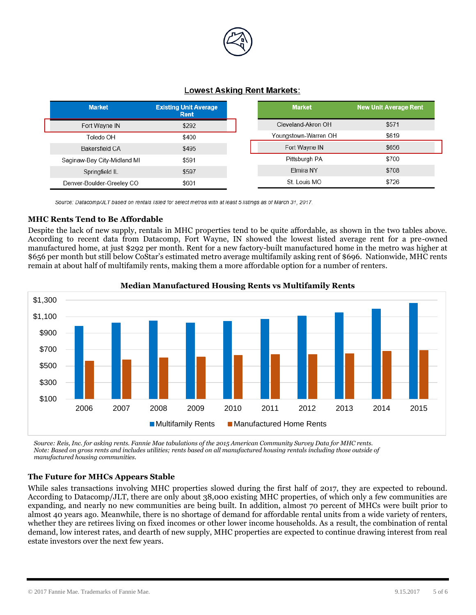

# **Lowest Asking Rent Markets:**

| <b>Market</b>               | <b>Existing Unit Average</b><br>Rent | <b>Market</b>        | <b>New Unit Average Rent</b> |
|-----------------------------|--------------------------------------|----------------------|------------------------------|
| Fort Wayne IN               | \$292                                | Cleveland-Akron OH   | \$571                        |
| Toledo OH                   | \$400                                | Youngstown-Warren OH | \$619                        |
| Bakersfield CA              | \$495                                | Fort Wayne IN        | \$656                        |
| Saginaw-Bay City-Midland MI | \$591                                | Pittsburgh PA        | \$700                        |
| Springfield IL              | \$597                                | Elmira NY            | \$708                        |
| Denver-Boulder-Greeley CO   | \$601                                | St. Louis MO         | \$726                        |

Source: Datacomp/JLT based on rentals listed for select metros with at least 5 listings as of March 31, 2017.

# **MHC Rents Tend to Be Affordable**

Despite the lack of new supply, rentals in MHC properties tend to be quite affordable, as shown in the two tables above. According to recent data from Datacomp, Fort Wayne, IN showed the lowest listed average rent for a pre-owned manufactured home, at just \$292 per month. Rent for a new factory-built manufactured home in the metro was higher at \$656 per month but still below CoStar's estimated metro average multifamily asking rent of \$696. Nationwide, MHC rents remain at about half of multifamily rents, making them a more affordable option for a number of renters.



# **Median Manufactured Housing Rents vs Multifamily Rents**

*Source: Reis, Inc. for asking rents. Fannie Mae tabulations of the 2015 American Community Survey Data for MHC rents. Note: Based on gross rents and includes utilities; rents based on all manufactured housing rentals including those outside of manufactured housing communities.* 

# **The Future for MHCs Appears Stable**

While sales transactions involving MHC properties slowed during the first half of 2017, they are expected to rebound. According to Datacomp/JLT, there are only about 38,000 existing MHC properties, of which only a few communities are expanding, and nearly no new communities are being built. In addition, almost 70 percent of MHCs were built prior to almost 40 years ago. Meanwhile, there is no shortage of demand for affordable rental units from a wide variety of renters, whether they are retirees living on fixed incomes or other lower income households. As a result, the combination of rental demand, low interest rates, and dearth of new supply, MHC properties are expected to continue drawing interest from real estate investors over the next few years.